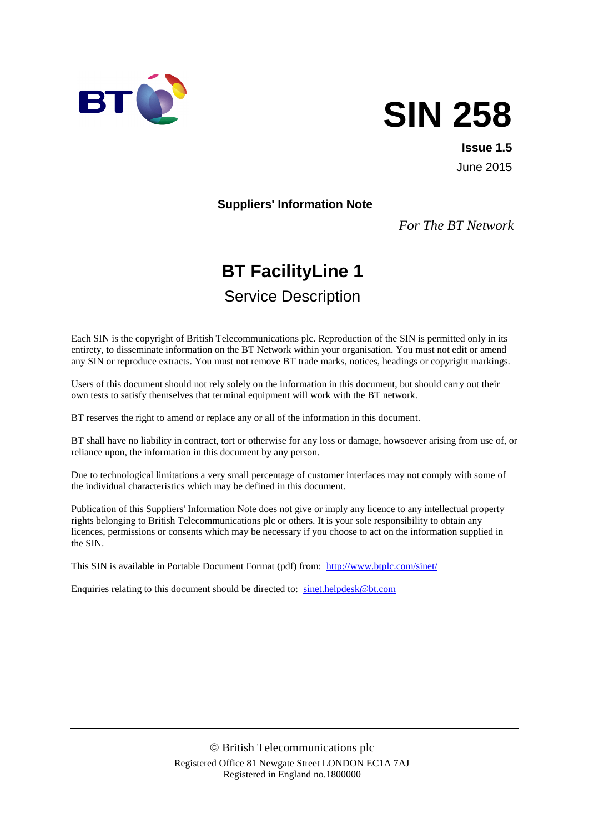

# **SIN 258**

**Issue 1.5** June 2015

#### **Suppliers' Information Note**

*For The BT Network*

# **BT FacilityLine 1**

# Service Description

Each SIN is the copyright of British Telecommunications plc. Reproduction of the SIN is permitted only in its entirety, to disseminate information on the BT Network within your organisation. You must not edit or amend any SIN or reproduce extracts. You must not remove BT trade marks, notices, headings or copyright markings.

Users of this document should not rely solely on the information in this document, but should carry out their own tests to satisfy themselves that terminal equipment will work with the BT network.

BT reserves the right to amend or replace any or all of the information in this document.

BT shall have no liability in contract, tort or otherwise for any loss or damage, howsoever arising from use of, or reliance upon, the information in this document by any person.

Due to technological limitations a very small percentage of customer interfaces may not comply with some of the individual characteristics which may be defined in this document.

Publication of this Suppliers' Information Note does not give or imply any licence to any intellectual property rights belonging to British Telecommunications plc or others. It is your sole responsibility to obtain any licences, permissions or consents which may be necessary if you choose to act on the information supplied in the SIN.

This SIN is available in Portable Document Format (pdf) from: <http://www.btplc.com/sinet/>

Enquiries relating to this document should be directed to: [sinet.helpdesk@bt.com](mailto:sinet.helpdesk@bt.com)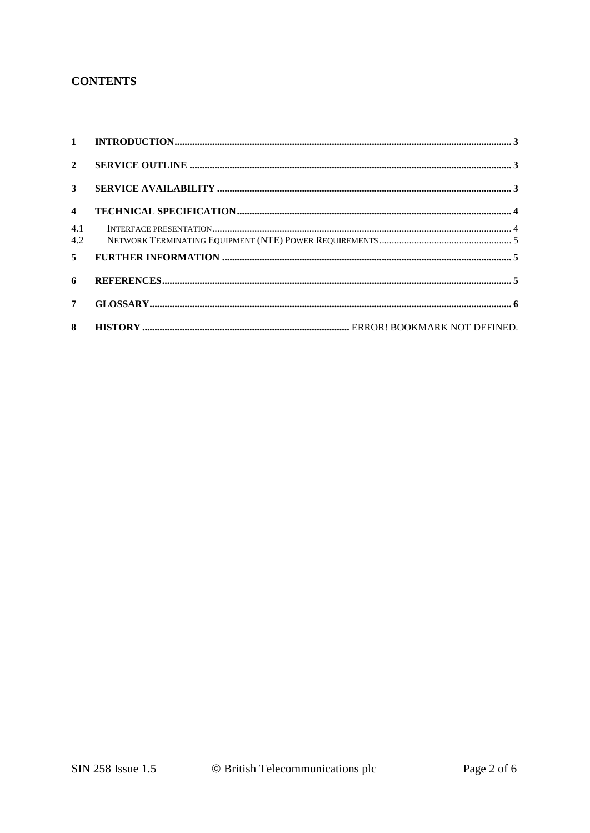#### **CONTENTS**

| $\overline{2}$ |  |
|----------------|--|
| $\mathbf{3}$   |  |
| $\overline{4}$ |  |
| 4.1<br>4.2     |  |
| 5 <sup>5</sup> |  |
| 6              |  |
| 7 <sup>7</sup> |  |
| 8              |  |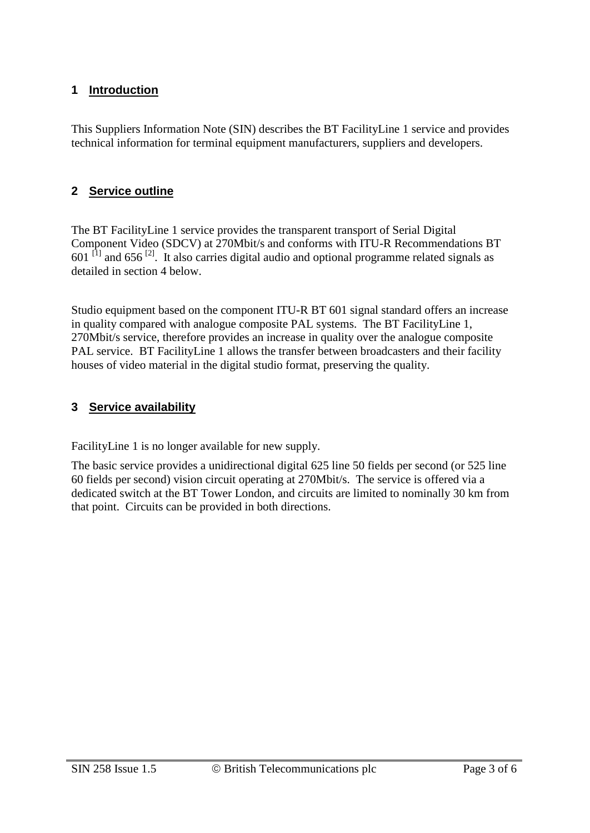#### **1 Introduction**

This Suppliers Information Note (SIN) describes the BT FacilityLine 1 service and provides technical information for terminal equipment manufacturers, suppliers and developers.

#### **2 Service outline**

The BT FacilityLine 1 service provides the transparent transport of Serial Digital Component Video (SDCV) at 270Mbit/s and conforms with ITU-R Recommendations BT  $601$ <sup>[1]</sup> and  $656$ <sup>[2]</sup>. It also carries digital audio and optional programme related signals as detailed in section 4 below.

Studio equipment based on the component ITU-R BT 601 signal standard offers an increase in quality compared with analogue composite PAL systems. The BT FacilityLine 1, 270Mbit/s service, therefore provides an increase in quality over the analogue composite PAL service. BT FacilityLine 1 allows the transfer between broadcasters and their facility houses of video material in the digital studio format, preserving the quality.

#### **3 Service availability**

FacilityLine 1 is no longer available for new supply.

The basic service provides a unidirectional digital 625 line 50 fields per second (or 525 line 60 fields per second) vision circuit operating at 270Mbit/s. The service is offered via a dedicated switch at the BT Tower London, and circuits are limited to nominally 30 km from that point. Circuits can be provided in both directions.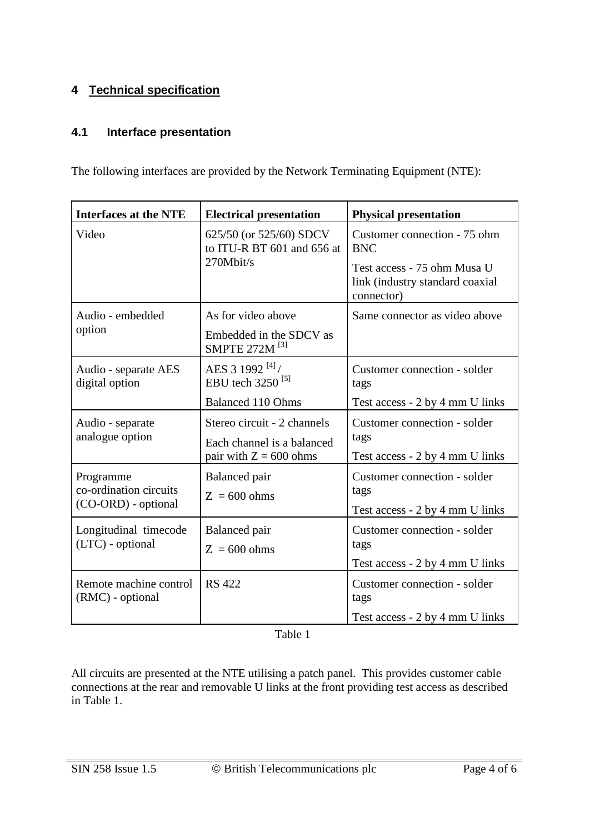## **4 Technical specification**

#### **4.1 Interface presentation**

The following interfaces are provided by the Network Terminating Equipment (NTE):

| <b>Interfaces at the NTE</b>                               | <b>Electrical presentation</b>                                                        | <b>Physical presentation</b>                                                 |  |
|------------------------------------------------------------|---------------------------------------------------------------------------------------|------------------------------------------------------------------------------|--|
| Video                                                      | 625/50 (or 525/60) SDCV<br>to ITU-R BT 601 and 656 at                                 | Customer connection - 75 ohm<br><b>BNC</b>                                   |  |
|                                                            | 270Mbit/s                                                                             | Test access - 75 ohm Musa U<br>link (industry standard coaxial<br>connector) |  |
| Audio - embedded                                           | As for video above                                                                    | Same connector as video above                                                |  |
| option                                                     | Embedded in the SDCV as<br>SMPTE 272M <sup>[3]</sup>                                  |                                                                              |  |
| Audio - separate AES<br>digital option                     | AES 3 1992 $[4]$<br>EBU tech 3250 <sup>[5]</sup>                                      | Customer connection - solder<br>tags                                         |  |
|                                                            | <b>Balanced 110 Ohms</b>                                                              | Test access - 2 by 4 mm U links                                              |  |
| Audio - separate<br>analogue option                        | Stereo circuit - 2 channels<br>Each channel is a balanced<br>pair with $Z = 600$ ohms | Customer connection - solder<br>tags<br>Test access - 2 by 4 mm U links      |  |
| Programme<br>co-ordination circuits<br>(CO-ORD) - optional | Balanced pair<br>$Z = 600 ohms$                                                       | Customer connection - solder<br>tags<br>Test access - 2 by 4 mm U links      |  |
| Longitudinal timecode<br>(LTC) - optional                  | Balanced pair<br>$Z = 600 ohms$                                                       | Customer connection - solder<br>tags<br>Test access - 2 by 4 mm U links      |  |
| Remote machine control<br>(RMC) - optional                 | <b>RS</b> 422                                                                         | Customer connection - solder<br>tags<br>Test access - 2 by 4 mm U links      |  |

Table 1

All circuits are presented at the NTE utilising a patch panel. This provides customer cable connections at the rear and removable U links at the front providing test access as described in Table 1.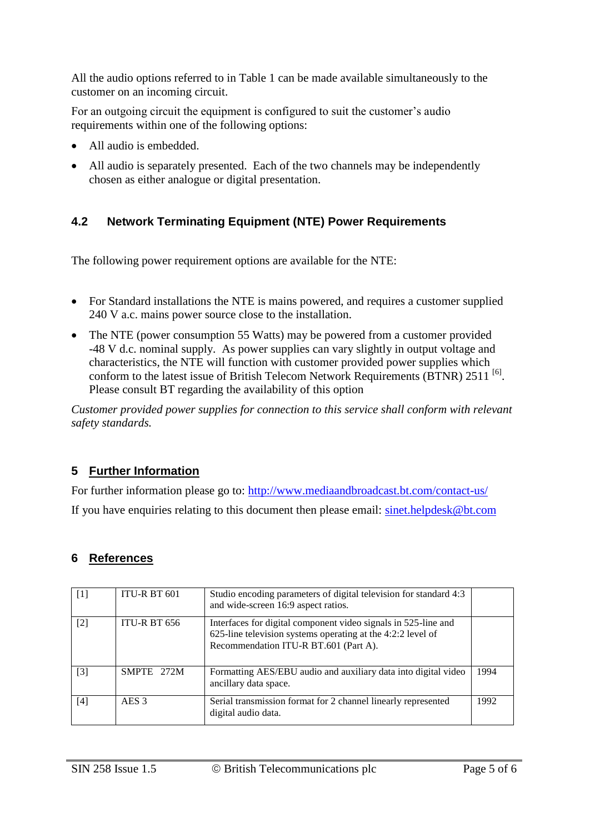All the audio options referred to in Table 1 can be made available simultaneously to the customer on an incoming circuit.

For an outgoing circuit the equipment is configured to suit the customer's audio requirements within one of the following options:

- All audio is embedded.
- All audio is separately presented. Each of the two channels may be independently chosen as either analogue or digital presentation.

# **4.2 Network Terminating Equipment (NTE) Power Requirements**

The following power requirement options are available for the NTE:

- For Standard installations the NTE is mains powered, and requires a customer supplied 240 V a.c. mains power source close to the installation.
- The NTE (power consumption 55 Watts) may be powered from a customer provided -48 V d.c. nominal supply. As power supplies can vary slightly in output voltage and characteristics, the NTE will function with customer provided power supplies which conform to the latest issue of British Telecom Network Requirements  $(BTNR)$  2511  $^{[6]}$ . Please consult BT regarding the availability of this option

*Customer provided power supplies for connection to this service shall conform with relevant safety standards.*

## **5 Further Information**

For further information please go to:<http://www.mediaandbroadcast.bt.com/contact-us/> If you have enquiries relating to this document then please email: [sinet.helpdesk@bt.com](mailto:sinet.helpdesk@bt.com)

## **6 References**

| $\lceil 1 \rceil$ | ITU-R BT 601        | Studio encoding parameters of digital television for standard 4:3<br>and wide-screen 16:9 aspect ratios.                                                               |      |
|-------------------|---------------------|------------------------------------------------------------------------------------------------------------------------------------------------------------------------|------|
| $[2]$             | <b>ITU-R BT 656</b> | Interfaces for digital component video signals in 525-line and<br>625-line television systems operating at the 4:2:2 level of<br>Recommendation ITU-R BT.601 (Part A). |      |
| $\lceil 3 \rceil$ | SMPTE 272M          | Formatting AES/EBU audio and auxiliary data into digital video<br>ancillary data space.                                                                                | 1994 |
| [4]               | AES <sub>3</sub>    | Serial transmission format for 2 channel linearly represented<br>digital audio data.                                                                                   | 1992 |